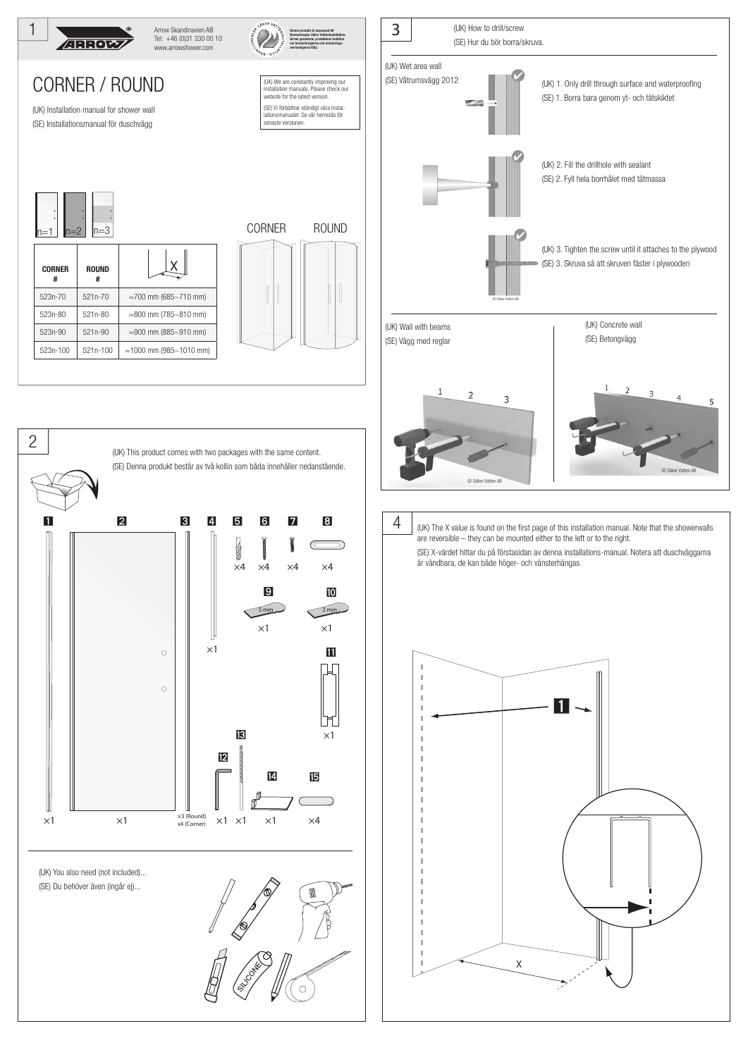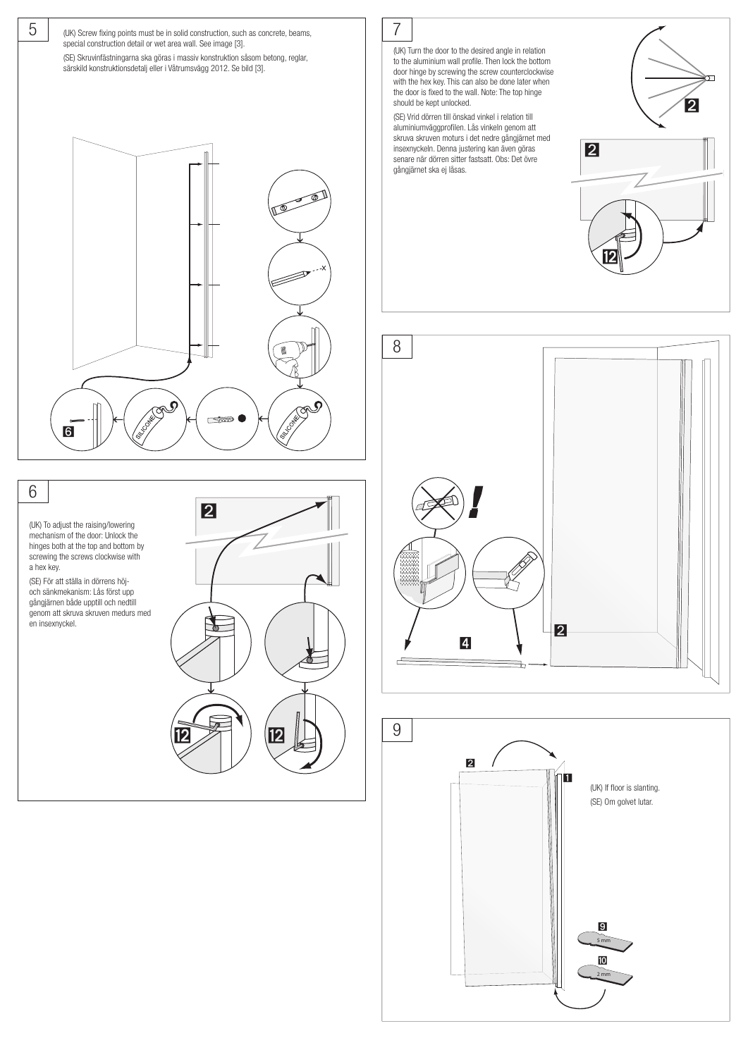

6 (UK) To adjust the raising/lowering mechanism of the door: Unlock the hinges both at the top and bottom by screwing the screws clockwise with a hex key. (SE) För att ställa in dörrens höjoch sänkmekanism: Lås först upp gångjärnen både upptill och nedtill genom att skruva skruven medurs med en insexnyckel.  $2 > 1$  12 ⃞

7

(UK) Turn the door to the desired angle in relation to the aluminium wall profile. Then lock the bottom door hinge by screwing the screw counterclockwise with the hex key. This can also be done later when the door is fixed to the wall. Note: The top hinge should be kept unlocked.

(SE) Vrid dörren till önskad vinkel i relation till aluminiumväggprofilen. Lås vinkeln genom att skruva skruven moturs i det nedre gångjärnet med insexnyckeln. Denna justering kan även göras senare när dörren sitter fastsatt. Obs: Det övre gångjärnet ska ej låsas.





⃞



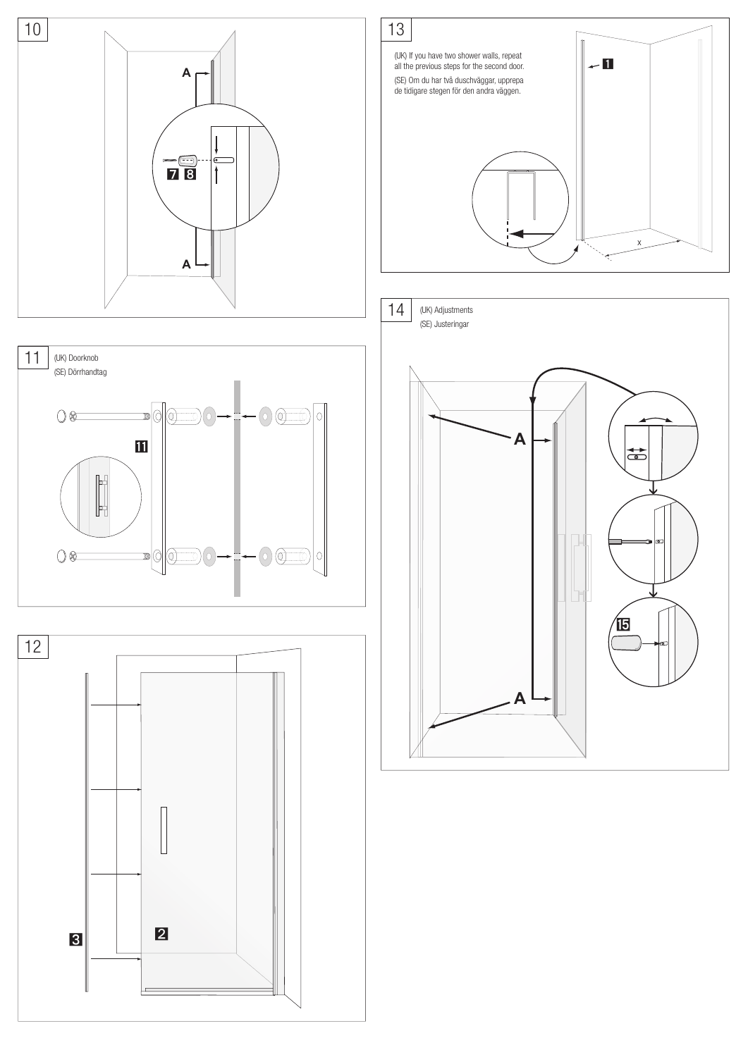